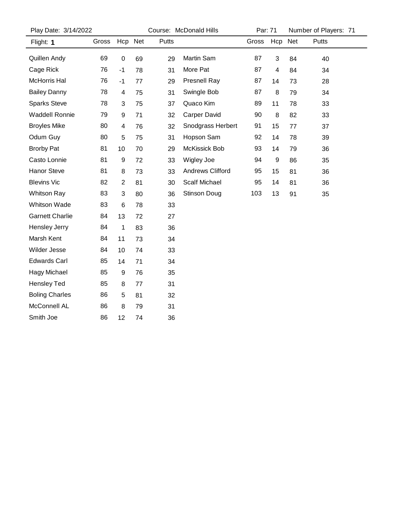| Play Date: 3/14/2022   |       | Course: McDonald Hills |    |       | Par: 71              |       | Number of Players: 71 |    |       |  |
|------------------------|-------|------------------------|----|-------|----------------------|-------|-----------------------|----|-------|--|
| Flight: 1              | Gross | Hcp Net                |    | Putts |                      | Gross | Hcp Net               |    | Putts |  |
| Quillen Andy           | 69    | 0                      | 69 | 29    | Martin Sam           | 87    | 3                     | 84 | 40    |  |
| Cage Rick              | 76    | $-1$                   | 78 | 31    | More Pat             | 87    | 4                     | 84 | 34    |  |
| McHorris Hal           | 76    | $-1$                   | 77 | 29    | <b>Presnell Ray</b>  | 87    | 14                    | 73 | 28    |  |
| <b>Bailey Danny</b>    | 78    | 4                      | 75 | 31    | Swingle Bob          | 87    | 8                     | 79 | 34    |  |
| <b>Sparks Steve</b>    | 78    | 3                      | 75 | 37    | Quaco Kim            | 89    | 11                    | 78 | 33    |  |
| <b>Waddell Ronnie</b>  | 79    | 9                      | 71 | 32    | Carper David         | 90    | 8                     | 82 | 33    |  |
| <b>Broyles Mike</b>    | 80    | 4                      | 76 | 32    | Snodgrass Herbert    | 91    | 15                    | 77 | 37    |  |
| Odum Guy               | 80    | 5                      | 75 | 31    | Hopson Sam           | 92    | 14                    | 78 | 39    |  |
| <b>Brorby Pat</b>      | 81    | 10                     | 70 | 29    | McKissick Bob        | 93    | 14                    | 79 | 36    |  |
| Casto Lonnie           | 81    | 9                      | 72 | 33    | Wigley Joe           | 94    | 9                     | 86 | 35    |  |
| Hanor Steve            | 81    | 8                      | 73 | 33    | Andrews Clifford     | 95    | 15                    | 81 | 36    |  |
| <b>Blevins Vic</b>     | 82    | $\overline{c}$         | 81 | 30    | <b>Scalf Michael</b> | 95    | 14                    | 81 | 36    |  |
| Whitson Ray            | 83    | 3                      | 80 | 36    | <b>Stinson Doug</b>  | 103   | 13                    | 91 | 35    |  |
| Whitson Wade           | 83    | 6                      | 78 | 33    |                      |       |                       |    |       |  |
| <b>Garnett Charlie</b> | 84    | 13                     | 72 | 27    |                      |       |                       |    |       |  |
| Hensley Jerry          | 84    | 1                      | 83 | 36    |                      |       |                       |    |       |  |
| Marsh Kent             | 84    | 11                     | 73 | 34    |                      |       |                       |    |       |  |
| Wilder Jesse           | 84    | 10                     | 74 | 33    |                      |       |                       |    |       |  |
| <b>Edwards Carl</b>    | 85    | 14                     | 71 | 34    |                      |       |                       |    |       |  |
| <b>Hagy Michael</b>    | 85    | 9                      | 76 | 35    |                      |       |                       |    |       |  |
| <b>Hensley Ted</b>     | 85    | 8                      | 77 | 31    |                      |       |                       |    |       |  |
| <b>Boling Charles</b>  | 86    | 5                      | 81 | 32    |                      |       |                       |    |       |  |
| McConnell AL           | 86    | 8                      | 79 | 31    |                      |       |                       |    |       |  |
| Smith Joe              | 86    | 12                     | 74 | 36    |                      |       |                       |    |       |  |